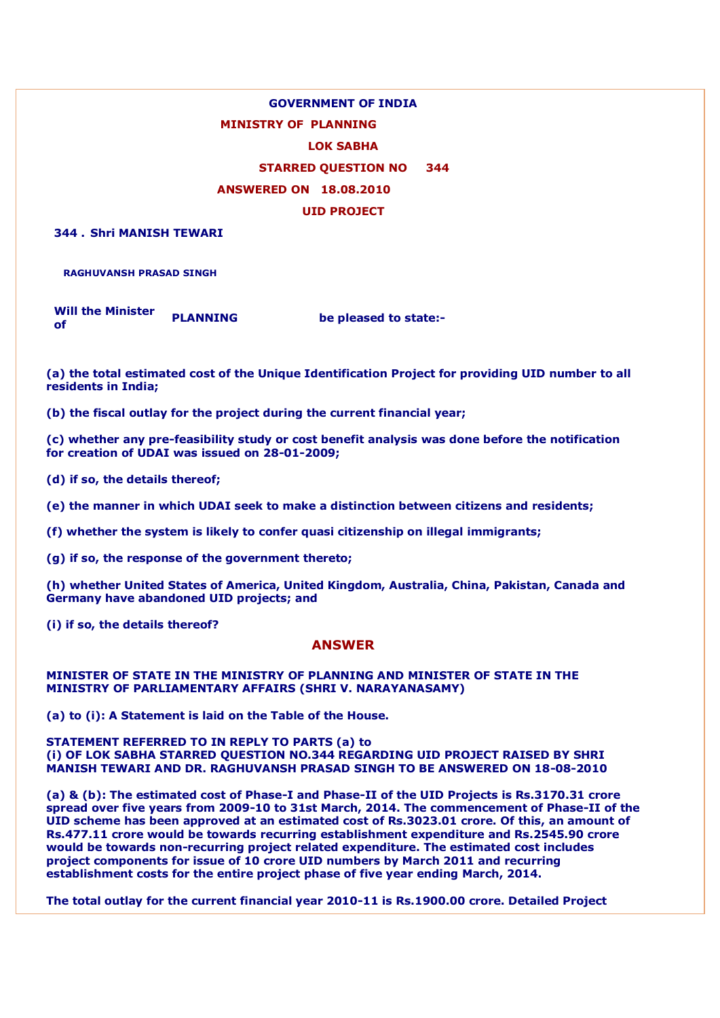## **GOVERNMENT OF INDIA MINISTRY OF PLANNING LOK SABHA STARRED QUESTION NO 344 ANSWERED ON 18.08.2010 UID PROJECT**

**344 . Shri MANISH TEWARI**

**RAGHUVANSH PRASAD SINGH**

**Will the Minister of PLANNING be pleased to state:-**

**(a) the total estimated cost of the Unique Identification Project for providing UID number to all residents in India;**

**(b) the fiscal outlay for the project during the current financial year;**

**(c) whether any pre-feasibility study or cost benefit analysis was done before the notification for creation of UDAI was issued on 28-01-2009;**

**(d) if so, the details thereof;**

**(e) the manner in which UDAI seek to make a distinction between citizens and residents;**

**(f) whether the system is likely to confer quasi citizenship on illegal immigrants;**

**(g) if so, the response of the government thereto;**

**(h) whether United States of America, United Kingdom, Australia, China, Pakistan, Canada and Germany have abandoned UID projects; and**

**(i) if so, the details thereof?**

## **ANSWER**

**MINISTER OF STATE IN THE MINISTRY OF PLANNING AND MINISTER OF STATE IN THE MINISTRY OF PARLIAMENTARY AFFAIRS (SHRI V. NARAYANASAMY)**

**(a) to (i): A Statement is laid on the Table of the House.**

**STATEMENT REFERRED TO IN REPLY TO PARTS (a) to (i) OF LOK SABHA STARRED QUESTION NO.344 REGARDING UID PROJECT RAISED BY SHRI MANISH TEWARI AND DR. RAGHUVANSH PRASAD SINGH TO BE ANSWERED ON 18-08-2010**

**(a) & (b): The estimated cost of Phase-I and Phase-II of the UID Projects is Rs.3170.31 crore spread over five years from 2009-10 to 31st March, 2014. The commencement of Phase-II of the UID scheme has been approved at an estimated cost of Rs.3023.01 crore. Of this, an amount of Rs.477.11 crore would be towards recurring establishment expenditure and Rs.2545.90 crore would be towards non-recurring project related expenditure. The estimated cost includes project components for issue of 10 crore UID numbers by March 2011 and recurring establishment costs for the entire project phase of five year ending March, 2014.**

**The total outlay for the current financial year 2010-11 is Rs.1900.00 crore. Detailed Project**